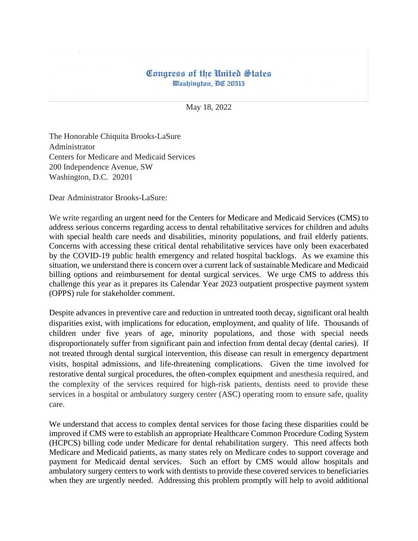## Congress of the United States Washington, DC 20515

May 18, 2022

The Honorable Chiquita Brooks-LaSure Administrator Centers for Medicare and Medicaid Services 200 Independence Avenue, SW Washington, D.C. 20201

Dear Administrator Brooks-LaSure:

We write regarding an urgent need for the Centers for Medicare and Medicaid Services (CMS) to address serious concerns regarding access to dental rehabilitative services for children and adults with special health care needs and disabilities, minority populations, and frail elderly patients. Concerns with accessing these critical dental rehabilitative services have only been exacerbated by the COVID-19 public health emergency and related hospital backlogs. As we examine this situation, we understand there is concern over a current lack of sustainable Medicare and Medicaid billing options and reimbursement for dental surgical services. We urge CMS to address this challenge this year as it prepares its Calendar Year 2023 outpatient prospective payment system (OPPS) rule for stakeholder comment.

Despite advances in preventive care and reduction in untreated tooth decay, significant oral health disparities exist, with implications for education, employment, and quality of life. Thousands of children under five years of age, minority populations, and those with special needs disproportionately suffer from significant pain and infection from dental decay (dental caries). If not treated through dental surgical intervention, this disease can result in emergency department visits, hospital admissions, and life-threatening complications. Given the time involved for restorative dental surgical procedures, the often-complex equipment and anesthesia required, and the complexity of the services required for high-risk patients, dentists need to provide these services in a hospital or ambulatory surgery center (ASC) operating room to ensure safe, quality care.

We understand that access to complex dental services for those facing these disparities could be improved if CMS were to establish an appropriate Healthcare Common Procedure Coding System (HCPCS) billing code under Medicare for dental rehabilitation surgery. This need affects both Medicare and Medicaid patients, as many states rely on Medicare codes to support coverage and payment for Medicaid dental services. Such an effort by CMS would allow hospitals and ambulatory surgery centers to work with dentists to provide these covered services to beneficiaries when they are urgently needed. Addressing this problem promptly will help to avoid additional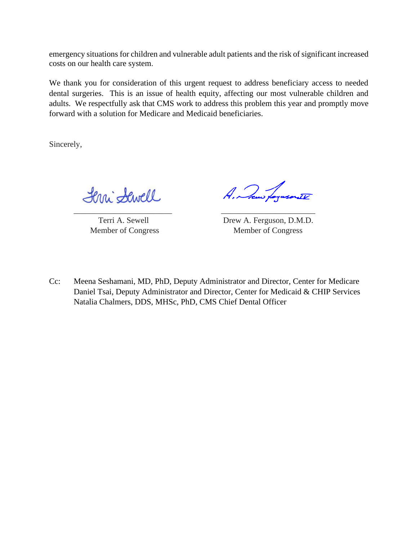emergency situations for children and vulnerable adult patients and the risk of significant increased costs on our health care system.

We thank you for consideration of this urgent request to address beneficiary access to needed dental surgeries. This is an issue of health equity, affecting our most vulnerable children and adults. We respectfully ask that CMS work to address this problem this year and promptly move forward with a solution for Medicare and Medicaid beneficiaries.

Sincerely,

Lerri Sewell \_\_\_\_\_\_\_\_\_\_\_\_\_\_\_\_\_\_\_\_\_\_\_\_ \_\_\_\_\_\_\_\_\_\_\_\_\_\_\_\_\_\_\_\_\_\_\_

A. Jaw forward IV

Terri A. Sewell Drew A. Ferguson, D.M.D. Member of Congress Member of Congress

Cc: Meena Seshamani, MD, PhD, Deputy Administrator and Director, Center for Medicare Daniel Tsai, Deputy Administrator and Director, Center for Medicaid & CHIP Services Natalia Chalmers, DDS, MHSc, PhD, CMS Chief Dental Officer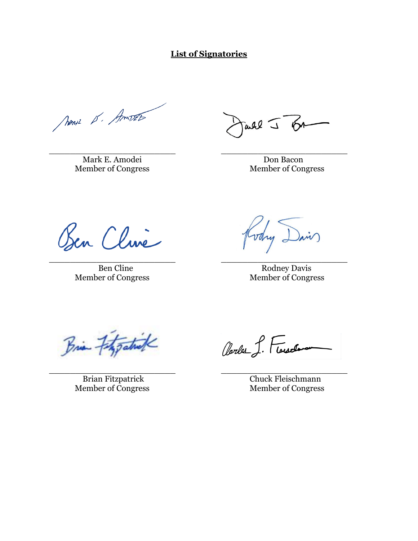**List of Signatories**

News 15. Amost

\_\_\_\_\_\_\_\_\_\_\_\_\_\_\_\_\_\_\_\_\_\_\_\_ \_\_\_\_\_\_\_\_\_\_\_\_\_\_\_\_\_\_\_\_\_\_\_\_ Mark E. Amodei Don Bacon

 $\omega$ ll  $\overline{\omega}$  on

Member of Congress Member of Congress

Ben Cline

\_\_\_\_\_\_\_\_\_\_\_\_\_\_\_\_\_\_\_\_\_\_\_\_ \_\_\_\_\_\_\_\_\_\_\_\_\_\_\_\_\_\_\_\_\_\_\_\_ Member of Congress

ain) Kodry

Ben Cline Rodney Davis<br>
Rodney Davis<br>
Member of Congress

Brian Fitzgatrick

\_\_\_\_\_\_\_\_\_\_\_\_\_\_\_\_\_\_\_\_\_\_\_\_ \_\_\_\_\_\_\_\_\_\_\_\_\_\_\_\_\_\_\_\_\_\_\_\_ Member of Congress Member of Congress

Clarles J. Floreston

Brian Fitzpatrick Chuck Fleischmann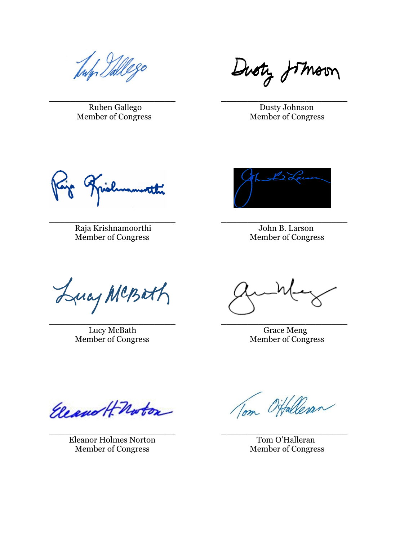Tup Pallego

\_\_\_\_\_\_\_\_\_\_\_\_\_\_\_\_\_\_\_\_\_\_\_\_ \_\_\_\_\_\_\_\_\_\_\_\_\_\_\_\_\_\_\_\_\_\_\_\_ Ruben Gallego Dusty Johnson Member of Congress Member of Congress

Guoty fotmoon

Raja Krishnamoorthi John B. Larson<br>Member of Congress Member of Congress Member of Congress

\_\_\_\_\_\_\_\_\_\_\_\_\_\_\_\_\_\_\_\_\_\_\_\_ \_\_\_\_\_\_\_\_\_\_\_\_\_\_\_\_\_\_\_\_\_\_\_\_

\_\_\_\_\_\_\_\_\_\_\_\_\_\_\_\_\_\_\_\_\_\_\_\_ \_\_\_\_\_\_\_\_\_\_\_\_\_\_\_\_\_\_\_\_\_\_\_\_

\_\_\_\_\_\_\_\_\_\_\_\_\_\_\_\_\_\_\_\_\_\_\_\_ \_\_\_\_\_\_\_\_\_\_\_\_\_\_\_\_\_\_\_\_\_\_\_\_



Lucy MCBath

Member of Congress

Lucy McBath Grace Meng<br>mber of Congress Member of Congress

Eleanor H-Norton

Eleanor Holmes Norton Tom O'Halleran Member of Congress Member of Congress

Tom Offalleran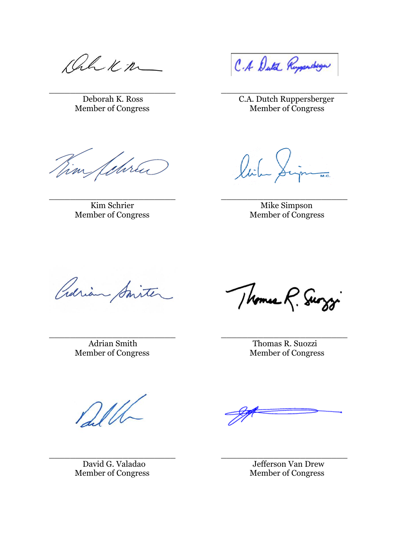Rhkn

Member of Congress

\_\_\_\_\_\_\_\_\_\_\_\_\_\_\_\_\_\_\_\_\_\_\_\_ \_\_\_\_\_\_\_\_\_\_\_\_\_\_\_\_\_\_\_\_\_\_\_\_

\_\_\_\_\_\_\_\_\_\_\_\_\_\_\_\_\_\_\_\_\_\_\_\_ \_\_\_\_\_\_\_\_\_\_\_\_\_\_\_\_\_\_\_\_\_\_\_\_

Tim februa

\_\_\_\_\_\_\_\_\_\_\_\_\_\_\_\_\_\_\_\_\_\_\_\_ \_\_\_\_\_\_\_\_\_\_\_\_\_\_\_\_\_\_\_\_\_\_\_\_ Member of Congress

C.A Dutch Rupperdage

Deborah K. Ross C.A. Dutch Ruppersberger

Linna lich

Kim Schrier Mike Simpson<br>
Mike Simpson<br>
Member of Congress

Crarian Smite

\_\_\_\_\_\_\_\_\_\_\_\_\_\_\_\_\_\_\_\_\_\_\_\_ \_\_\_\_\_\_\_\_\_\_\_\_\_\_\_\_\_\_\_\_\_\_\_\_ Member of Congress

Thomas R. Surggi

Adrian Smith Thomas R. Suozzi<br>
Thomas R. Suozzi<br>
Member of Congress

Dell

Member of Congress

David G. Valadao Jefferson Van Drew